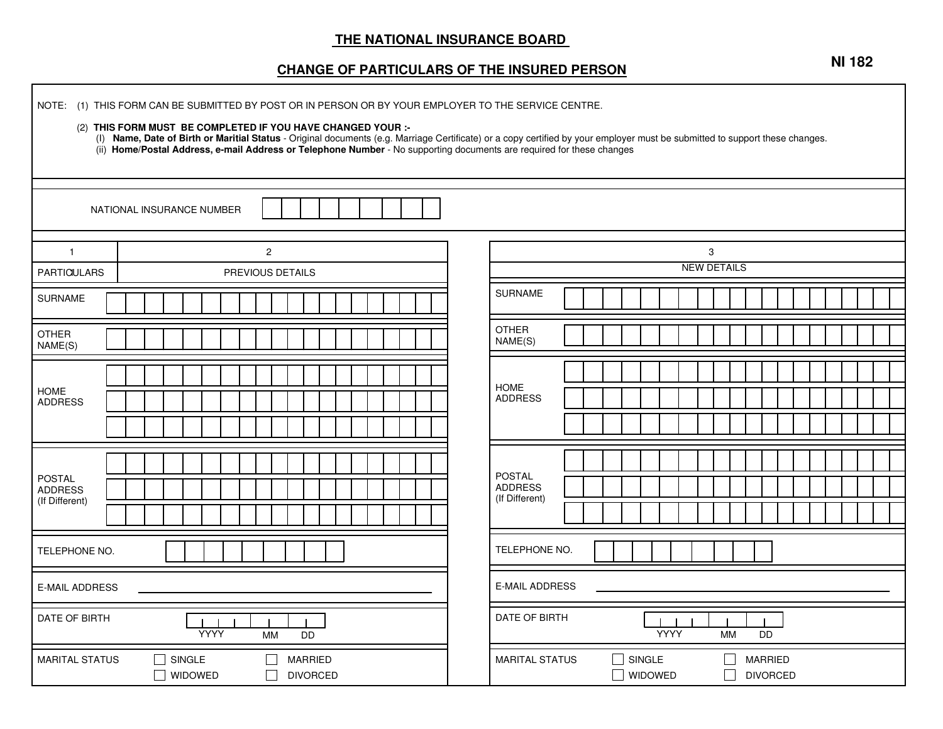## **THE NATIONAL INSURANCE BOARD**

## **CHANGE OF PARTICULARS OF THE INSURED PERSON**

| NOTE: (1) THIS FORM CAN BE SUBMITTED BY POST OR IN PERSON OR BY YOUR EMPLOYER TO THE SERVICE CENTRE.<br>(2) THIS FORM MUST BE COMPLETED IF YOU HAVE CHANGED YOUR :-<br>(I) Name, Date of Birth or Maritial Status - Original documents (e.g. Marriage Certificate) or a copy certified by your employer must be submitted to support these changes.<br>(ii) Home/Postal Address, e-mail Address or Telephone Number - No supporting documents are required for these changes |                                                                    |                                                                                        |  |
|------------------------------------------------------------------------------------------------------------------------------------------------------------------------------------------------------------------------------------------------------------------------------------------------------------------------------------------------------------------------------------------------------------------------------------------------------------------------------|--------------------------------------------------------------------|----------------------------------------------------------------------------------------|--|
|                                                                                                                                                                                                                                                                                                                                                                                                                                                                              | NATIONAL INSURANCE NUMBER                                          |                                                                                        |  |
| $\mathbf{1}$<br>PARTICIULARS                                                                                                                                                                                                                                                                                                                                                                                                                                                 | $\overline{c}$<br>PREVIOUS DETAILS                                 | 3<br><b>NEW DETAILS</b>                                                                |  |
| <b>SURNAME</b>                                                                                                                                                                                                                                                                                                                                                                                                                                                               |                                                                    | <b>SURNAME</b>                                                                         |  |
| <b>OTHER</b><br>NAME(S)                                                                                                                                                                                                                                                                                                                                                                                                                                                      |                                                                    | <b>OTHER</b><br>NAME(S)                                                                |  |
| <b>HOME</b><br><b>ADDRESS</b>                                                                                                                                                                                                                                                                                                                                                                                                                                                |                                                                    | <b>HOME</b><br><b>ADDRESS</b>                                                          |  |
| <b>POSTAL</b><br><b>ADDRESS</b><br>(If Different)                                                                                                                                                                                                                                                                                                                                                                                                                            |                                                                    | <b>POSTAL</b><br><b>ADDRESS</b><br>(If Different)                                      |  |
| TELEPHONE NO.                                                                                                                                                                                                                                                                                                                                                                                                                                                                |                                                                    | TELEPHONE NO.                                                                          |  |
| <b>E-MAIL ADDRESS</b>                                                                                                                                                                                                                                                                                                                                                                                                                                                        |                                                                    | <b>E-MAIL ADDRESS</b>                                                                  |  |
| <b>DATE OF BIRTH</b><br><b>YYYY</b><br><b>MM</b><br><b>DD</b>                                                                                                                                                                                                                                                                                                                                                                                                                |                                                                    | DATE OF BIRTH<br><b>YYYY</b><br><b>DD</b><br>MМ                                        |  |
| <b>MARITAL STATUS</b>                                                                                                                                                                                                                                                                                                                                                                                                                                                        | SINGLE<br><b>MARRIED</b><br>П<br><b>WIDOWED</b><br><b>DIVORCED</b> | <b>MARITAL STATUS</b><br>SINGLE<br><b>MARRIED</b><br><b>WIDOWED</b><br><b>DIVORCED</b> |  |